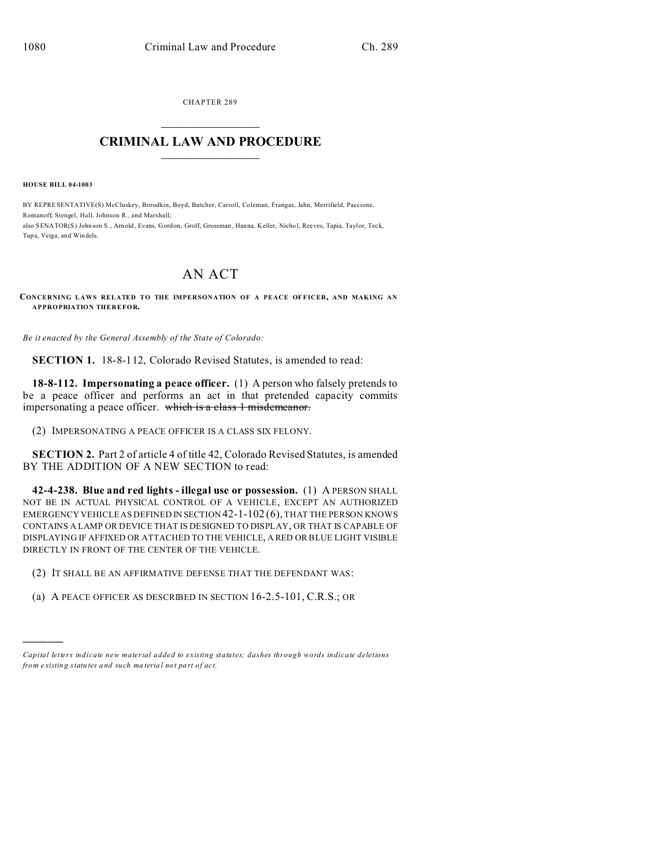CHAPTER 289  $\overline{\phantom{a}}$  , where  $\overline{\phantom{a}}$ 

## **CRIMINAL LAW AND PROCEDURE**  $\_$   $\_$   $\_$   $\_$   $\_$   $\_$   $\_$   $\_$   $\_$

**HOUSE BILL 04-1003**

)))))

BY REPRESENTATIVE(S) McCluskey, Borodkin, Boyd, Butcher, Carroll, Coleman, Frangas, Jahn, Merrifield, Paccione, Romanoff, Stengel, Hall, Johnson R., and Marshall; also SENATOR(S) John son S., Arnold, Evans, Gordon, Groff, Grossman , Hanna, Keller, Nichol, Reeves, Tapia, Taylor, Teck, Tupa, Veiga, and Windels.

## AN ACT

**CONCERNING LAWS RELATED TO THE IMPERSONATION OF A PEACE OFFICER, AND MAKING AN APPROPRIATION THEREFOR.**

*Be it enacted by the General Assembly of the State of Colorado:*

**SECTION 1.** 18-8-112, Colorado Revised Statutes, is amended to read:

**18-8-112. Impersonating a peace officer.** (1) A person who falsely pretends to be a peace officer and performs an act in that pretended capacity commits impersonating a peace officer. which is a class 1 misdemeanor.

(2) IMPERSONATING A PEACE OFFICER IS A CLASS SIX FELONY.

**SECTION 2.** Part 2 of article 4 of title 42, Colorado Revised Statutes, is amended BY THE ADDITION OF A NEW SECTION to read:

**42-4-238. Blue and red lights - illegal use or possession.** (1) A PERSON SHALL NOT BE IN ACTUAL PHYSICAL CONTROL OF A VEHICLE, EXCEPT AN AUTHORIZED EMERGENCY VEHICLE AS DEFINED IN SECTION 42-1-102 (6), THAT THE PERSON KNOWS CONTAINS A LAMP OR DEVICE THAT IS DESIGNED TO DISPLAY, OR THAT IS CAPABLE OF DISPLAYING IF AFFIXED OR ATTACHED TO THE VEHICLE, A RED OR BLUE LIGHT VISIBLE DIRECTLY IN FRONT OF THE CENTER OF THE VEHICLE.

(2) IT SHALL BE AN AFFIRMATIVE DEFENSE THAT THE DEFENDANT WAS:

(a) A PEACE OFFICER AS DESCRIBED IN SECTION 16-2.5-101, C.R.S.; OR

*Capital letters indicate new material added to existing statutes; dashes through words indicate deletions from e xistin g statu tes a nd such ma teria l no t pa rt of ac t.*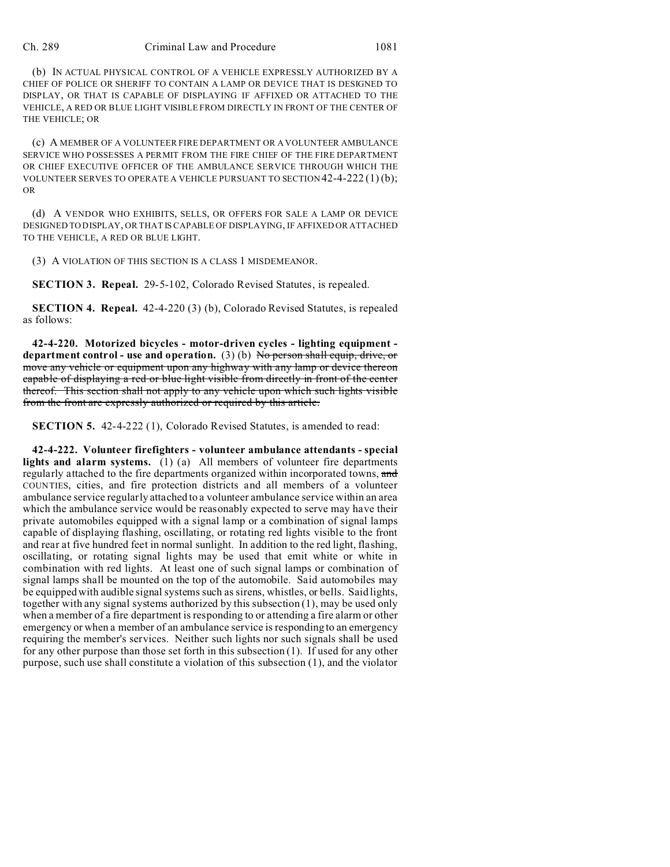## Ch. 289 Criminal Law and Procedure 1081

(b) IN ACTUAL PHYSICAL CONTROL OF A VEHICLE EXPRESSLY AUTHORIZED BY A CHIEF OF POLICE OR SHERIFF TO CONTAIN A LAMP OR DEVICE THAT IS DESIGNED TO DISPLAY, OR THAT IS CAPABLE OF DISPLAYING IF AFFIXED OR ATTACHED TO THE VEHICLE, A RED OR BLUE LIGHT VISIBLE FROM DIRECTLY IN FRONT OF THE CENTER OF THE VEHICLE; OR

(c) A MEMBER OF A VOLUNTEER FIRE DEPARTMENT OR A VOLUNTEER AMBULANCE SERVICE WHO POSSESSES A PERMIT FROM THE FIRE CHIEF OF THE FIRE DEPARTMENT OR CHIEF EXECUTIVE OFFICER OF THE AMBULANCE SERVICE THROUGH WHICH THE VOLUNTEER SERVES TO OPERATE A VEHICLE PURSUANT TO SECTION  $42-4-222(1)(b)$ ; OR

(d) A VENDOR WHO EXHIBITS, SELLS, OR OFFERS FOR SALE A LAMP OR DEVICE DESIGNED TO DISPLAY, OR THAT IS CAPABLE OF DISPLAYING, IF AFFIXED OR ATTACHED TO THE VEHICLE, A RED OR BLUE LIGHT.

(3) A VIOLATION OF THIS SECTION IS A CLASS 1 MISDEMEANOR.

**SECTION 3. Repeal.** 29-5-102, Colorado Revised Statutes, is repealed.

**SECTION 4. Repeal.** 42-4-220 (3) (b), Colorado Revised Statutes, is repealed as follows:

**42-4-220. Motorized bicycles - motor-driven cycles - lighting equipment department control - use and operation.** (3) (b) No person shall equip, drive, or move any vehicle or equipment upon any highway with any lamp or device thereon capable of displaying a red or blue light visible from directly in front of the center thereof. This section shall not apply to any vehicle upon which such lights visible from the front are expressly authorized or required by this article.

**SECTION 5.** 42-4-222 (1), Colorado Revised Statutes, is amended to read:

**42-4-222. Volunteer firefighters - volunteer ambulance attendants - special lights and alarm systems.** (1) (a) All members of volunteer fire departments regularly attached to the fire departments organized within incorporated towns, and COUNTIES, cities, and fire protection districts and all members of a volunteer ambulance service regularly attached to a volunteer ambulance service within an area which the ambulance service would be reasonably expected to serve may have their private automobiles equipped with a signal lamp or a combination of signal lamps capable of displaying flashing, oscillating, or rotating red lights visible to the front and rear at five hundred feet in normal sunlight. In addition to the red light, flashing, oscillating, or rotating signal lights may be used that emit white or white in combination with red lights. At least one of such signal lamps or combination of signal lamps shall be mounted on the top of the automobile. Said automobiles may be equipped with audible signal systems such as sirens, whistles, or bells. Said lights, together with any signal systems authorized by this subsection (1), may be used only when a member of a fire department is responding to or attending a fire alarm or other emergency or when a member of an ambulance service is responding to an emergency requiring the member's services. Neither such lights nor such signals shall be used for any other purpose than those set forth in this subsection (1). If used for any other purpose, such use shall constitute a violation of this subsection (1), and the violator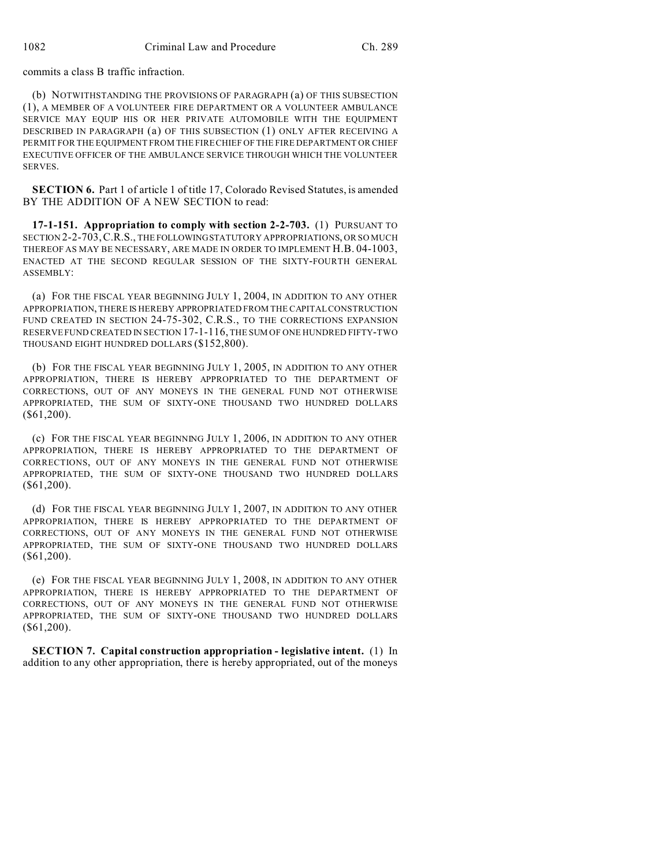commits a class B traffic infraction.

(b) NOTWITHSTANDING THE PROVISIONS OF PARAGRAPH (a) OF THIS SUBSECTION (1), A MEMBER OF A VOLUNTEER FIRE DEPARTMENT OR A VOLUNTEER AMBULANCE SERVICE MAY EQUIP HIS OR HER PRIVATE AUTOMOBILE WITH THE EQUIPMENT DESCRIBED IN PARAGRAPH (a) OF THIS SUBSECTION (1) ONLY AFTER RECEIVING A PERMIT FOR THE EQUIPMENT FROM THE FIRE CHIEF OF THE FIRE DEPARTMENT OR CHIEF EXECUTIVE OFFICER OF THE AMBULANCE SERVICE THROUGH WHICH THE VOLUNTEER SERVES.

**SECTION 6.** Part 1 of article 1 of title 17, Colorado Revised Statutes, is amended BY THE ADDITION OF A NEW SECTION to read:

**17-1-151. Appropriation to comply with section 2-2-703.** (1) PURSUANT TO SECTION 2-2-703,C.R.S., THE FOLLOWINGSTATUTORY APPROPRIATIONS, OR SO MUCH THEREOF AS MAY BE NECESSARY, ARE MADE IN ORDER TO IMPLEMENT H.B. 04-1003, ENACTED AT THE SECOND REGULAR SESSION OF THE SIXTY-FOURTH GENERAL ASSEMBLY:

(a) FOR THE FISCAL YEAR BEGINNING JULY 1, 2004, IN ADDITION TO ANY OTHER APPROPRIATION, THERE IS HEREBY APPROPRIATED FROM THE CAPITAL CONSTRUCTION FUND CREATED IN SECTION 24-75-302, C.R.S., TO THE CORRECTIONS EXPANSION RESERVE FUND CREATED IN SECTION 17-1-116, THE SUM OF ONE HUNDRED FIFTY-TWO THOUSAND EIGHT HUNDRED DOLLARS (\$152,800).

(b) FOR THE FISCAL YEAR BEGINNING JULY 1, 2005, IN ADDITION TO ANY OTHER APPROPRIATION, THERE IS HEREBY APPROPRIATED TO THE DEPARTMENT OF CORRECTIONS, OUT OF ANY MONEYS IN THE GENERAL FUND NOT OTHERWISE APPROPRIATED, THE SUM OF SIXTY-ONE THOUSAND TWO HUNDRED DOLLARS (\$61,200).

(c) FOR THE FISCAL YEAR BEGINNING JULY 1, 2006, IN ADDITION TO ANY OTHER APPROPRIATION, THERE IS HEREBY APPROPRIATED TO THE DEPARTMENT OF CORRECTIONS, OUT OF ANY MONEYS IN THE GENERAL FUND NOT OTHERWISE APPROPRIATED, THE SUM OF SIXTY-ONE THOUSAND TWO HUNDRED DOLLARS (\$61,200).

(d) FOR THE FISCAL YEAR BEGINNING JULY 1, 2007, IN ADDITION TO ANY OTHER APPROPRIATION, THERE IS HEREBY APPROPRIATED TO THE DEPARTMENT OF CORRECTIONS, OUT OF ANY MONEYS IN THE GENERAL FUND NOT OTHERWISE APPROPRIATED, THE SUM OF SIXTY-ONE THOUSAND TWO HUNDRED DOLLARS (\$61,200).

(e) FOR THE FISCAL YEAR BEGINNING JULY 1, 2008, IN ADDITION TO ANY OTHER APPROPRIATION, THERE IS HEREBY APPROPRIATED TO THE DEPARTMENT OF CORRECTIONS, OUT OF ANY MONEYS IN THE GENERAL FUND NOT OTHERWISE APPROPRIATED, THE SUM OF SIXTY-ONE THOUSAND TWO HUNDRED DOLLARS (\$61,200).

**SECTION 7. Capital construction appropriation - legislative intent.** (1) In addition to any other appropriation, there is hereby appropriated, out of the moneys